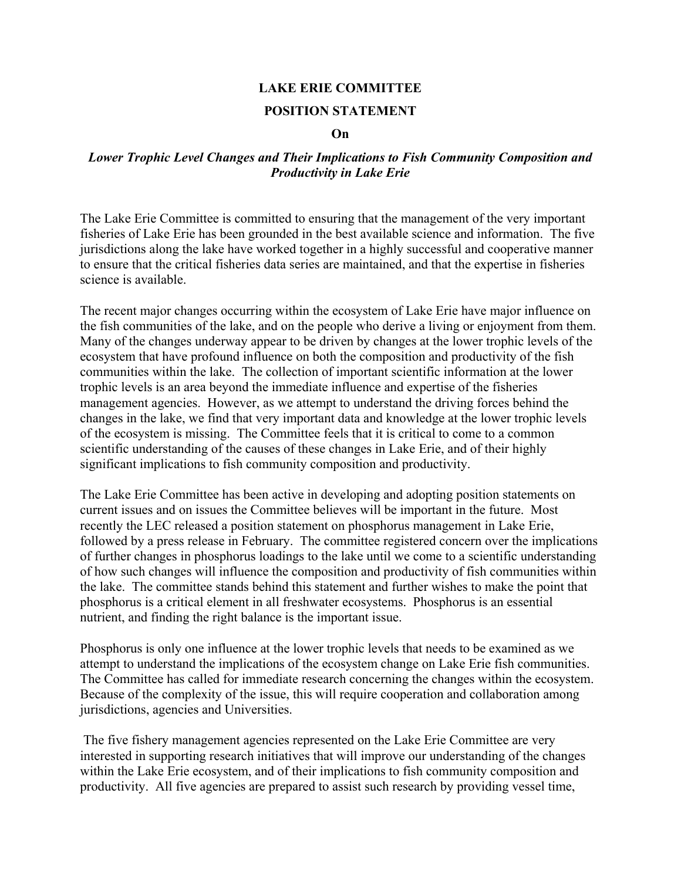## **LAKE ERIE COMMITTEE**

## **POSITION STATEMENT**

## **On**

## *Lower Trophic Level Changes and Their Implications to Fish Community Composition and Productivity in Lake Erie*

The Lake Erie Committee is committed to ensuring that the management of the very important fisheries of Lake Erie has been grounded in the best available science and information. The five jurisdictions along the lake have worked together in a highly successful and cooperative manner to ensure that the critical fisheries data series are maintained, and that the expertise in fisheries science is available.

The recent major changes occurring within the ecosystem of Lake Erie have major influence on the fish communities of the lake, and on the people who derive a living or enjoyment from them. Many of the changes underway appear to be driven by changes at the lower trophic levels of the ecosystem that have profound influence on both the composition and productivity of the fish communities within the lake. The collection of important scientific information at the lower trophic levels is an area beyond the immediate influence and expertise of the fisheries management agencies. However, as we attempt to understand the driving forces behind the changes in the lake, we find that very important data and knowledge at the lower trophic levels of the ecosystem is missing. The Committee feels that it is critical to come to a common scientific understanding of the causes of these changes in Lake Erie, and of their highly significant implications to fish community composition and productivity.

The Lake Erie Committee has been active in developing and adopting position statements on current issues and on issues the Committee believes will be important in the future. Most recently the LEC released a position statement on phosphorus management in Lake Erie, followed by a press release in February. The committee registered concern over the implications of further changes in phosphorus loadings to the lake until we come to a scientific understanding of how such changes will influence the composition and productivity of fish communities within the lake. The committee stands behind this statement and further wishes to make the point that phosphorus is a critical element in all freshwater ecosystems. Phosphorus is an essential nutrient, and finding the right balance is the important issue.

Phosphorus is only one influence at the lower trophic levels that needs to be examined as we attempt to understand the implications of the ecosystem change on Lake Erie fish communities. The Committee has called for immediate research concerning the changes within the ecosystem. Because of the complexity of the issue, this will require cooperation and collaboration among jurisdictions, agencies and Universities.

 The five fishery management agencies represented on the Lake Erie Committee are very interested in supporting research initiatives that will improve our understanding of the changes within the Lake Erie ecosystem, and of their implications to fish community composition and productivity. All five agencies are prepared to assist such research by providing vessel time,